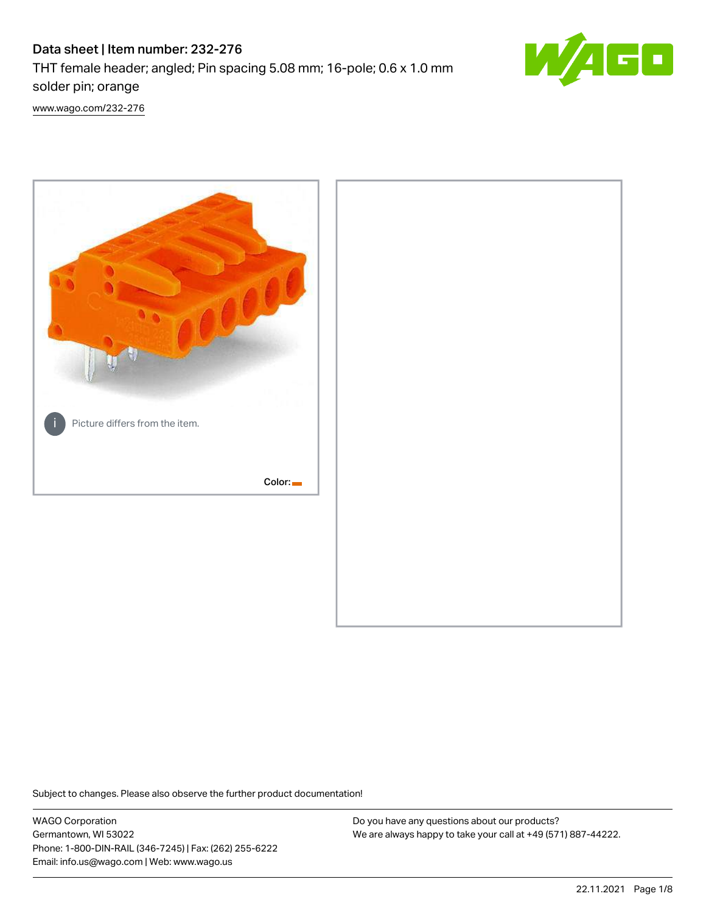# Data sheet | Item number: 232-276

THT female header; angled; Pin spacing 5.08 mm; 16-pole; 0.6 x 1.0 mm solder pin; orange



[www.wago.com/232-276](http://www.wago.com/232-276)



Subject to changes. Please also observe the further product documentation!

WAGO Corporation Germantown, WI 53022 Phone: 1-800-DIN-RAIL (346-7245) | Fax: (262) 255-6222 Email: info.us@wago.com | Web: www.wago.us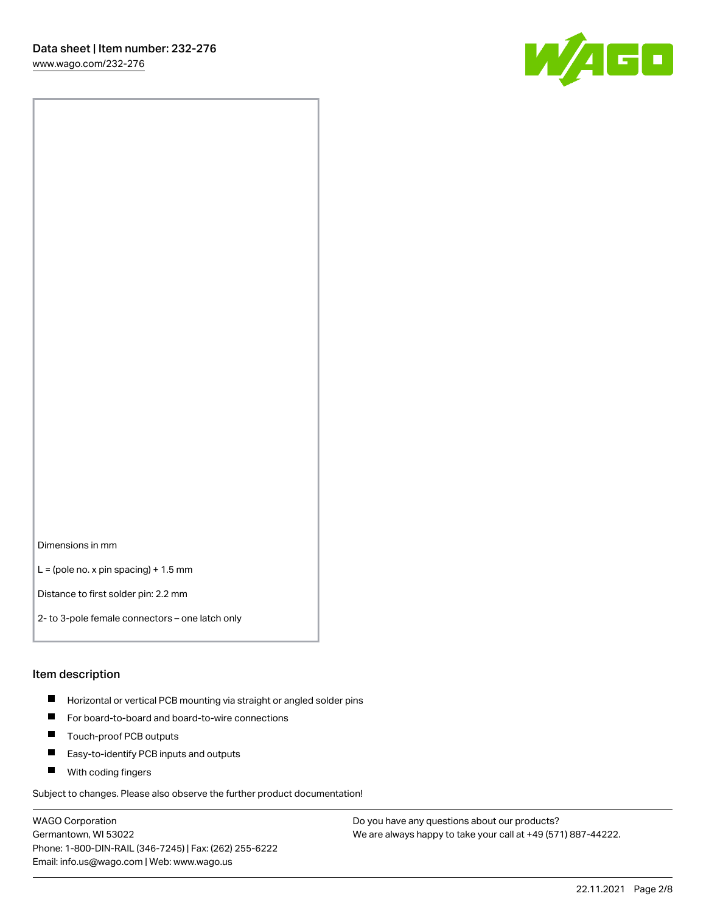[www.wago.com/232-276](http://www.wago.com/232-276)



Dimensions in mm

 $L =$  (pole no. x pin spacing) + 1.5 mm

Distance to first solder pin: 2.2 mm

2- to 3-pole female connectors – one latch only

#### Item description

- **Horizontal or vertical PCB mounting via straight or angled solder pins**
- For board-to-board and board-to-wire connections
- $\blacksquare$ Touch-proof PCB outputs
- $\blacksquare$ Easy-to-identify PCB inputs and outputs
- **Now With coding fingers**

Subject to changes. Please also observe the further product documentation!

WAGO Corporation Germantown, WI 53022 Phone: 1-800-DIN-RAIL (346-7245) | Fax: (262) 255-6222 Email: info.us@wago.com | Web: www.wago.us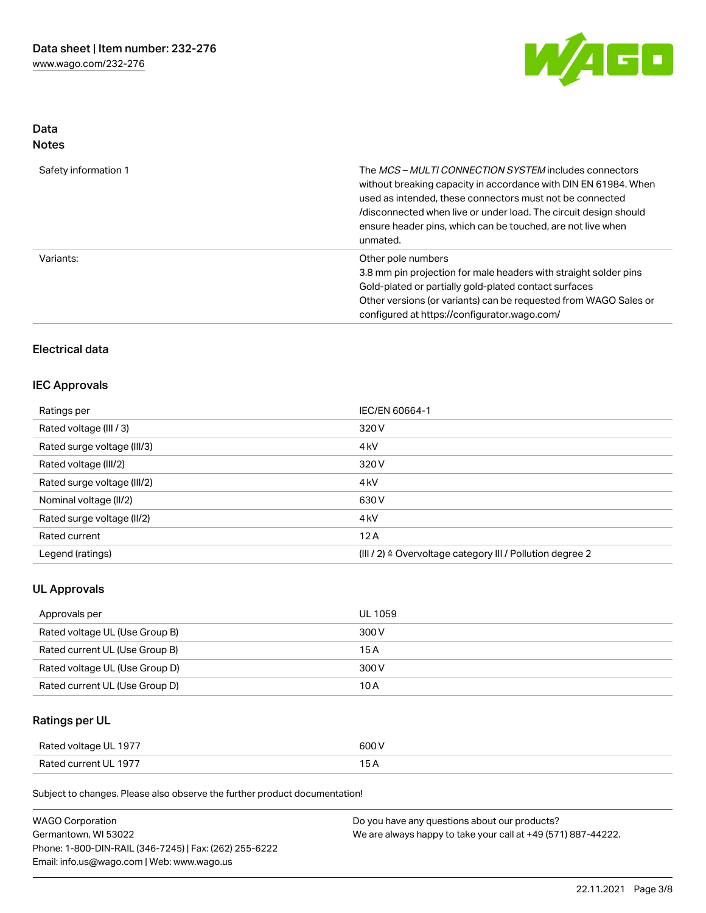

## Data Notes

| Safety information 1 | The <i>MCS – MULTI CONNECTION SYSTEM</i> includes connectors<br>without breaking capacity in accordance with DIN EN 61984. When<br>used as intended, these connectors must not be connected<br>/disconnected when live or under load. The circuit design should<br>ensure header pins, which can be touched, are not live when<br>unmated. |
|----------------------|--------------------------------------------------------------------------------------------------------------------------------------------------------------------------------------------------------------------------------------------------------------------------------------------------------------------------------------------|
| Variants:            | Other pole numbers<br>3.8 mm pin projection for male headers with straight solder pins<br>Gold-plated or partially gold-plated contact surfaces<br>Other versions (or variants) can be requested from WAGO Sales or<br>configured at https://configurator.wago.com/                                                                        |

# Electrical data

## IEC Approvals

| Ratings per                 | IEC/EN 60664-1                                                       |
|-----------------------------|----------------------------------------------------------------------|
| Rated voltage (III / 3)     | 320 V                                                                |
| Rated surge voltage (III/3) | 4 <sub>k</sub> V                                                     |
| Rated voltage (III/2)       | 320 V                                                                |
| Rated surge voltage (III/2) | 4 <sub>k</sub> V                                                     |
| Nominal voltage (II/2)      | 630 V                                                                |
| Rated surge voltage (II/2)  | 4 <sub>k</sub> V                                                     |
| Rated current               | 12A                                                                  |
| Legend (ratings)            | (III / 2) $\triangleq$ Overvoltage category III / Pollution degree 2 |

## UL Approvals

| Approvals per                  | <b>UL 1059</b> |
|--------------------------------|----------------|
| Rated voltage UL (Use Group B) | 300 V          |
| Rated current UL (Use Group B) | 15 A           |
| Rated voltage UL (Use Group D) | 300 V          |
| Rated current UL (Use Group D) | 10 A           |

# Ratings per UL

| Rated voltage UL 1977 | 600 V |
|-----------------------|-------|
| Rated current UL 1977 |       |

Subject to changes. Please also observe the further product documentation!

| <b>WAGO Corporation</b>                                | Do you have any questions about our products?                 |
|--------------------------------------------------------|---------------------------------------------------------------|
| Germantown, WI 53022                                   | We are always happy to take your call at +49 (571) 887-44222. |
| Phone: 1-800-DIN-RAIL (346-7245)   Fax: (262) 255-6222 |                                                               |
| Email: info.us@wago.com   Web: www.wago.us             |                                                               |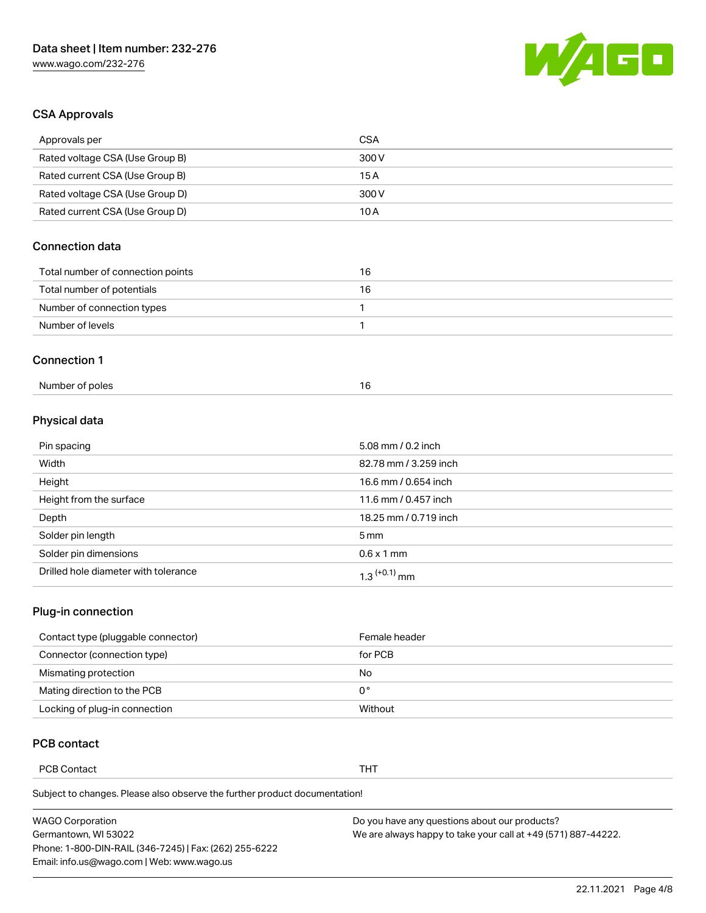

## CSA Approvals

| Approvals per                     | <b>CSA</b> |
|-----------------------------------|------------|
| Rated voltage CSA (Use Group B)   | 300 V      |
| Rated current CSA (Use Group B)   | 15 A       |
| Rated voltage CSA (Use Group D)   | 300 V      |
| Rated current CSA (Use Group D)   | 10 A       |
| Connection data                   |            |
| Total number of connection points | 16         |
|                                   |            |
| Total number of potentials        | 16         |
| Number of connection types        | 1          |
| Number of levels                  | 1          |
| <b>Connection 1</b>               |            |

## Physical data

| Pin spacing                          | 5.08 mm / 0.2 inch    |
|--------------------------------------|-----------------------|
| Width                                | 82.78 mm / 3.259 inch |
| Height                               | 16.6 mm / 0.654 inch  |
| Height from the surface              | 11.6 mm / 0.457 inch  |
| Depth                                | 18.25 mm / 0.719 inch |
| Solder pin length                    | $5 \,\mathrm{mm}$     |
| Solder pin dimensions                | $0.6 \times 1$ mm     |
| Drilled hole diameter with tolerance | $1.3$ $(+0.1)$ mm     |

## Plug-in connection

| Contact type (pluggable connector) | Female header |
|------------------------------------|---------------|
| Connector (connection type)        | for PCB       |
| Mismating protection               | No            |
| Mating direction to the PCB        | 0°            |
| Locking of plug-in connection      | Without       |

## PCB contact

PCB Contact **THT** 

Subject to changes. Please also observe the further product documentation!

| <b>WAGO Corporation</b>                                | Do you have any questions about our products?                 |
|--------------------------------------------------------|---------------------------------------------------------------|
| Germantown, WI 53022                                   | We are always happy to take your call at +49 (571) 887-44222. |
| Phone: 1-800-DIN-RAIL (346-7245)   Fax: (262) 255-6222 |                                                               |
| Email: info.us@wago.com   Web: www.wago.us             |                                                               |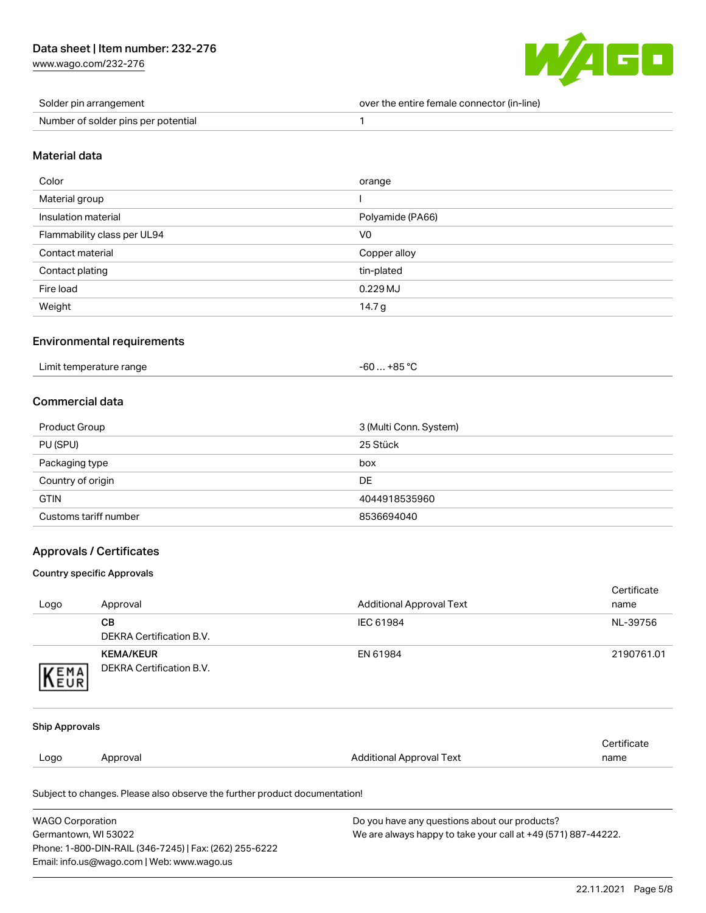[www.wago.com/232-276](http://www.wago.com/232-276)



| Solder pin arrangement              | over the entire female connector (in-line) |
|-------------------------------------|--------------------------------------------|
| Number of solder pins per potential |                                            |

#### Material data

| Color                       | orange           |
|-----------------------------|------------------|
| Material group              |                  |
| Insulation material         | Polyamide (PA66) |
| Flammability class per UL94 | V <sub>0</sub>   |
| Contact material            | Copper alloy     |
| Contact plating             | tin-plated       |
| Fire load                   | 0.229 MJ         |
| Weight                      | 14.7 g           |

## Environmental requirements

| $-60+85 °C$<br>Limit temperature range |  |
|----------------------------------------|--|
|----------------------------------------|--|

## Commercial data

| Product Group         | 3 (Multi Conn. System) |
|-----------------------|------------------------|
| PU (SPU)              | 25 Stück               |
| Packaging type        | box                    |
| Country of origin     | DE                     |
| <b>GTIN</b>           | 4044918535960          |
| Customs tariff number | 8536694040             |

## Approvals / Certificates

#### Country specific Approvals

Phone: 1-800-DIN-RAIL (346-7245) | Fax: (262) 255-6222

Email: info.us@wago.com | Web: www.wago.us

| Logo                    | Approval                                                                              | <b>Additional Approval Text</b>               | Certificate<br>name |
|-------------------------|---------------------------------------------------------------------------------------|-----------------------------------------------|---------------------|
|                         | CВ                                                                                    | IEC 61984                                     | NL-39756            |
|                         | <b>DEKRA Certification B.V.</b>                                                       |                                               |                     |
|                         | <b>KEMA/KEUR</b>                                                                      | EN 61984                                      | 2190761.01          |
| KEMA                    | <b>DEKRA Certification B.V.</b>                                                       |                                               |                     |
|                         |                                                                                       |                                               |                     |
| Ship Approvals          |                                                                                       |                                               |                     |
|                         |                                                                                       |                                               | Certificate         |
| Logo                    | Approval                                                                              | <b>Additional Approval Text</b>               | name                |
|                         | Subject to changes. Please also observe the further product documentation!            |                                               |                     |
| <b>WAGO Corporation</b> |                                                                                       | Do you have any questions about our products? |                     |
|                         | Germantown, WI 53022<br>We are always happy to take your call at +49 (571) 887-44222. |                                               |                     |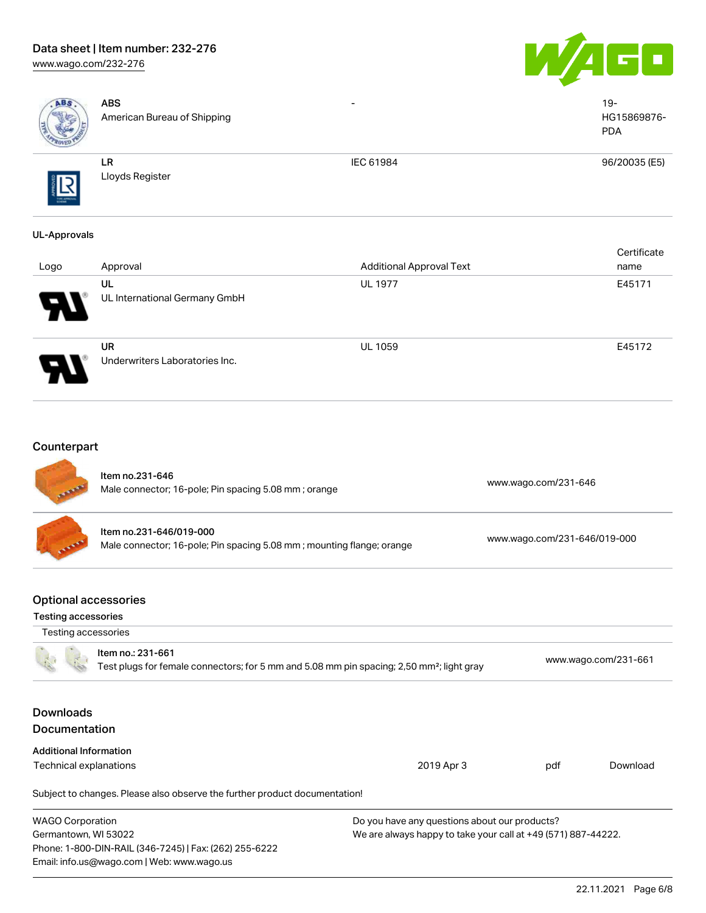# Data sheet | Item number: 232-276

[www.wago.com/232-276](http://www.wago.com/232-276)





| ABS                                                | <b>ABS</b><br>American Bureau of Shipping                                                                                  |                                                                                                                |                              | $19 -$<br>HG15869876-<br><b>PDA</b> |
|----------------------------------------------------|----------------------------------------------------------------------------------------------------------------------------|----------------------------------------------------------------------------------------------------------------|------------------------------|-------------------------------------|
|                                                    | <b>LR</b><br>Lloyds Register                                                                                               | IEC 61984                                                                                                      |                              | 96/20035 (E5)                       |
| <b>UL-Approvals</b>                                |                                                                                                                            |                                                                                                                |                              |                                     |
| Logo                                               | Approval                                                                                                                   | <b>Additional Approval Text</b>                                                                                |                              | Certificate<br>name                 |
|                                                    | UL<br>UL International Germany GmbH                                                                                        | <b>UL 1977</b>                                                                                                 |                              | E45171                              |
|                                                    | <b>UR</b><br>Underwriters Laboratories Inc.                                                                                | <b>UL 1059</b>                                                                                                 |                              | E45172                              |
| Counterpart                                        | Item no.231-646                                                                                                            |                                                                                                                |                              |                                     |
|                                                    | Male connector; 16-pole; Pin spacing 5.08 mm; orange                                                                       |                                                                                                                | www.wago.com/231-646         |                                     |
|                                                    | Item no.231-646/019-000<br>Male connector; 16-pole; Pin spacing 5.08 mm; mounting flange; orange                           |                                                                                                                | www.wago.com/231-646/019-000 |                                     |
| <b>Optional accessories</b><br>Testing accessories |                                                                                                                            |                                                                                                                |                              |                                     |
| Testing accessories                                | Item no.: 231-661<br>Test plugs for female connectors; for 5 mm and 5.08 mm pin spacing; 2,50 mm <sup>2</sup> ; light gray |                                                                                                                |                              | www.wago.com/231-661                |
| <b>Downloads</b><br>Documentation                  |                                                                                                                            |                                                                                                                |                              |                                     |
| <b>Additional Information</b>                      |                                                                                                                            |                                                                                                                |                              |                                     |
| Technical explanations                             |                                                                                                                            | 2019 Apr 3                                                                                                     | pdf                          | Download                            |
|                                                    | Subject to changes. Please also observe the further product documentation!                                                 |                                                                                                                |                              |                                     |
| <b>WAGO Corporation</b><br>Germantown, WI 53022    | Phone: 1-800-DIN-RAIL (346-7245)   Fax: (262) 255-6222<br>Email: info.us@wago.com   Web: www.wago.us                       | Do you have any questions about our products?<br>We are always happy to take your call at +49 (571) 887-44222. |                              |                                     |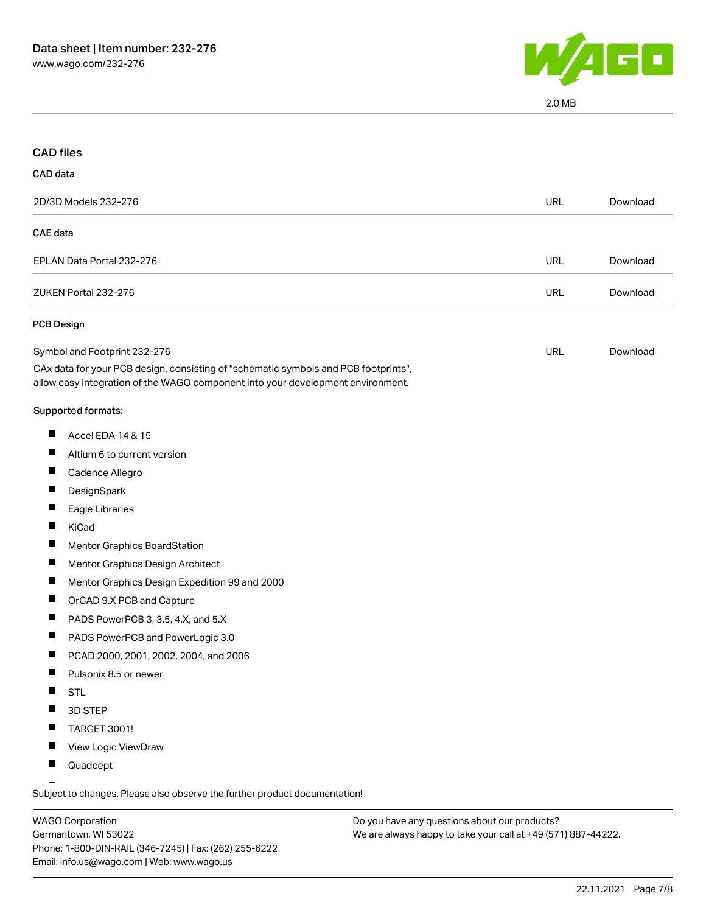

2.0 MB

| <b>CAD files</b>  |                                                                                                                                                                        |            |          |
|-------------------|------------------------------------------------------------------------------------------------------------------------------------------------------------------------|------------|----------|
| CAD data          |                                                                                                                                                                        |            |          |
|                   | 2D/3D Models 232-276                                                                                                                                                   | <b>URL</b> | Download |
| <b>CAE</b> data   |                                                                                                                                                                        |            |          |
|                   | EPLAN Data Portal 232-276                                                                                                                                              | <b>URL</b> | Download |
|                   | ZUKEN Portal 232-276                                                                                                                                                   | <b>URL</b> | Download |
| <b>PCB Design</b> |                                                                                                                                                                        |            |          |
|                   | Symbol and Footprint 232-276                                                                                                                                           | <b>URL</b> | Download |
|                   | CAx data for your PCB design, consisting of "schematic symbols and PCB footprints",<br>allow easy integration of the WAGO component into your development environment. |            |          |
|                   | Supported formats:                                                                                                                                                     |            |          |
| $\blacksquare$    | Accel EDA 14 & 15                                                                                                                                                      |            |          |
|                   | Altium 6 to current version                                                                                                                                            |            |          |
| H                 | Cadence Allegro                                                                                                                                                        |            |          |
|                   | DesignSpark                                                                                                                                                            |            |          |
|                   | Eagle Libraries                                                                                                                                                        |            |          |
| H                 | KiCad                                                                                                                                                                  |            |          |
|                   | <b>Mentor Graphics BoardStation</b>                                                                                                                                    |            |          |
|                   | Mentor Graphics Design Architect                                                                                                                                       |            |          |
| $\blacksquare$    | Mentor Graphics Design Expedition 99 and 2000                                                                                                                          |            |          |
|                   | OrCAD 9.X PCB and Capture                                                                                                                                              |            |          |
|                   | PADS PowerPCB 3, 3.5, 4.X, and 5.X                                                                                                                                     |            |          |
| ш                 | PADS PowerPCB and PowerLogic 3.0                                                                                                                                       |            |          |
| ш                 | PCAD 2000, 2001, 2002, 2004, and 2006                                                                                                                                  |            |          |
|                   | Pulsonix 8.5 or newer                                                                                                                                                  |            |          |
| ш                 | <b>STL</b>                                                                                                                                                             |            |          |
|                   | 3D STEP                                                                                                                                                                |            |          |
|                   | TARGET 3001!                                                                                                                                                           |            |          |
| ш                 | View Logic ViewDraw                                                                                                                                                    |            |          |
| ш                 | Quadcept                                                                                                                                                               |            |          |

WAGO Corporation Germantown, WI 53022 Phone: 1-800-DIN-RAIL (346-7245) | Fax: (262) 255-6222 Email: info.us@wago.com | Web: www.wago.us